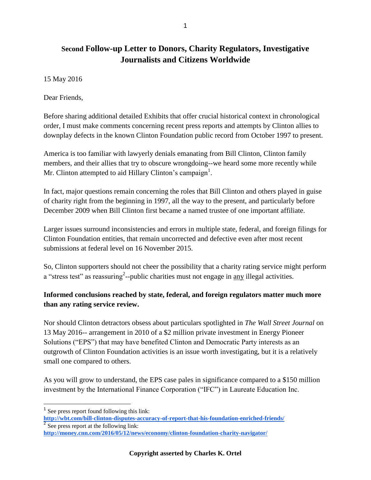# **Second Follow-up Letter to Donors, Charity Regulators, Investigative Journalists and Citizens Worldwide**

15 May 2016

Dear Friends,

Before sharing additional detailed Exhibits that offer crucial historical context in chronological order, I must make comments concerning recent press reports and attempts by Clinton allies to downplay defects in the known Clinton Foundation public record from October 1997 to present.

America is too familiar with lawyerly denials emanating from Bill Clinton, Clinton family members, and their allies that try to obscure wrongdoing--we heard some more recently while Mr. Clinton attempted to aid Hillary Clinton's campaign<sup>1</sup>.

In fact, major questions remain concerning the roles that Bill Clinton and others played in guise of charity right from the beginning in 1997, all the way to the present, and particularly before December 2009 when Bill Clinton first became a named trustee of one important affiliate.

Larger issues surround inconsistencies and errors in multiple state, federal, and foreign filings for Clinton Foundation entities, that remain uncorrected and defective even after most recent submissions at federal level on 16 November 2015.

So, Clinton supporters should not cheer the possibility that a charity rating service might perform a "stress test" as reassuring<sup>2</sup>--public charities must not engage in  $\frac{any}{m}$  illegal activities.

#### **Informed conclusions reached by state, federal, and foreign regulators matter much more than any rating service review.**

Nor should Clinton detractors obsess about particulars spotlighted in *The Wall Street Journal* on 13 May 2016-- arrangement in 2010 of a \$2 million private investment in Energy Pioneer Solutions ("EPS") that may have benefited Clinton and Democratic Party interests as an outgrowth of Clinton Foundation activities is an issue worth investigating, but it is a relatively small one compared to others.

As you will grow to understand, the EPS case pales in significance compared to a \$150 million investment by the International Finance Corporation ("IFC") in Laureate Education Inc.

<sup>&</sup>lt;sup>1</sup> See press report found following this link:

**<http://wbt.com/bill-clinton-disputes-accuracy-of-report-that-his-foundation-enriched-friends/>** 2 See press report at the following link:

**<http://money.cnn.com/2016/05/12/news/economy/clinton-foundation-charity-navigator/>**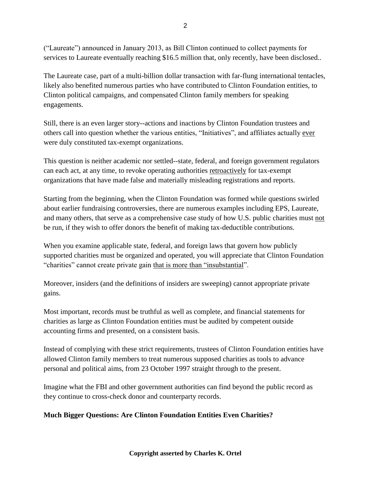("Laureate") announced in January 2013, as Bill Clinton continued to collect payments for services to Laureate eventually reaching \$16.5 million that, only recently, have been disclosed..

The Laureate case, part of a multi-billion dollar transaction with far-flung international tentacles, likely also benefited numerous parties who have contributed to Clinton Foundation entities, to Clinton political campaigns, and compensated Clinton family members for speaking engagements.

Still, there is an even larger story--actions and inactions by Clinton Foundation trustees and others call into question whether the various entities, "Initiatives", and affiliates actually ever were duly constituted tax-exempt organizations.

This question is neither academic nor settled--state, federal, and foreign government regulators can each act, at any time, to revoke operating authorities retroactively for tax-exempt organizations that have made false and materially misleading registrations and reports.

Starting from the beginning, when the Clinton Foundation was formed while questions swirled about earlier fundraising controversies, there are numerous examples including EPS, Laureate, and many others, that serve as a comprehensive case study of how U.S. public charities must not be run, if they wish to offer donors the benefit of making tax-deductible contributions.

When you examine applicable state, federal, and foreign laws that govern how publicly supported charities must be organized and operated, you will appreciate that Clinton Foundation "charities" cannot create private gain that is more than "insubstantial".

Moreover, insiders (and the definitions of insiders are sweeping) cannot appropriate private gains.

Most important, records must be truthful as well as complete, and financial statements for charities as large as Clinton Foundation entities must be audited by competent outside accounting firms and presented, on a consistent basis.

Instead of complying with these strict requirements, trustees of Clinton Foundation entities have allowed Clinton family members to treat numerous supposed charities as tools to advance personal and political aims, from 23 October 1997 straight through to the present.

Imagine what the FBI and other government authorities can find beyond the public record as they continue to cross-check donor and counterparty records.

#### **Much Bigger Questions: Are Clinton Foundation Entities Even Charities?**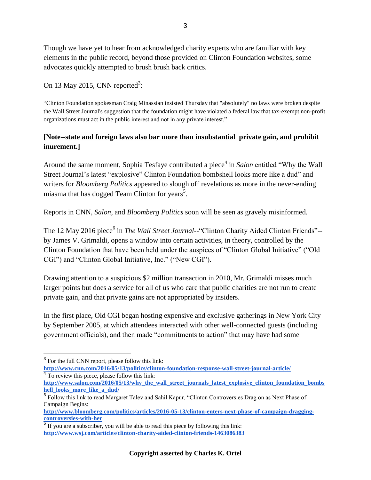Though we have yet to hear from acknowledged charity experts who are familiar with key elements in the public record, beyond those provided on Clinton Foundation websites, some advocates quickly attempted to brush brush back critics.

On 13 May 2015, CNN reported<sup>3</sup>:

"Clinton Foundation spokesman Craig Minassian insisted Thursday that "absolutely" no laws were broken despite the Wall Street Journal's suggestion that the foundation might have violated a federal law that tax-exempt non-profit organizations must act in the public interest and not in any private interest."

#### **[Note--state and foreign laws also bar more than insubstantial private gain, and prohibit inurement.]**

Around the same moment, Sophia Tesfaye contributed a piece<sup>4</sup> in *Salon* entitled "Why the Wall Street Journal's latest "explosive" Clinton Foundation bombshell looks more like a dud" and writers for *Bloomberg Politics* appeared to slough off revelations as more in the never-ending miasma that has dogged Team Clinton for years<sup>5</sup>.

Reports in CNN, *Salon*, and *Bloomberg Politics* soon will be seen as gravely misinformed.

The 12 May 2016 piece<sup>6</sup> in *The Wall Street Journal*--"Clinton Charity Aided Clinton Friends"-by James V. Grimaldi, opens a window into certain activities, in theory, controlled by the Clinton Foundation that have been held under the auspices of "Clinton Global Initiative" ("Old CGI") and "Clinton Global Initiative, Inc." ("New CGI").

Drawing attention to a suspicious \$2 million transaction in 2010, Mr. Grimaldi misses much larger points but does a service for all of us who care that public charities are not run to create private gain, and that private gains are not appropriated by insiders.

In the first place, Old CGI began hosting expensive and exclusive gatherings in New York City by September 2005, at which attendees interacted with other well-connected guests (including government officials), and then made "commitments to action" that may have had some

<sup>&</sup>lt;sup>3</sup> For the full CNN report, please follow this link:

**<http://www.cnn.com/2016/05/13/politics/clinton-foundation-response-wall-street-journal-article/>** 4 To review this piece, please follow this link:

**[http://www.salon.com/2016/05/13/why\\_the\\_wall\\_street\\_journals\\_latest\\_explosive\\_clinton\\_foundation\\_bombs](http://www.salon.com/2016/05/13/why_the_wall_street_journals_latest_explosive_clinton_foundation_bombshell_looks_more_like_a_dud/) [hell\\_looks\\_more\\_like\\_a\\_dud/](http://www.salon.com/2016/05/13/why_the_wall_street_journals_latest_explosive_clinton_foundation_bombshell_looks_more_like_a_dud/)**

<sup>&</sup>lt;sup>5</sup> Follow this link to read Margaret Talev and Sahil Kapur, "Clinton Controversies Drag on as Next Phase of Campaign Begins:

**[http://www.bloomberg.com/politics/articles/2016-05-13/clinton-enters-next-phase-of-campaign-dragging](http://www.bloomberg.com/politics/articles/2016-05-13/clinton-enters-next-phase-of-campaign-dragging-controversies-with-her)[controversies-with-her](http://www.bloomberg.com/politics/articles/2016-05-13/clinton-enters-next-phase-of-campaign-dragging-controversies-with-her)**

 $6$  If you are a subscriber, you will be able to read this piece by following this link: **<http://www.wsj.com/articles/clinton-charity-aided-clinton-friends-1463086383>**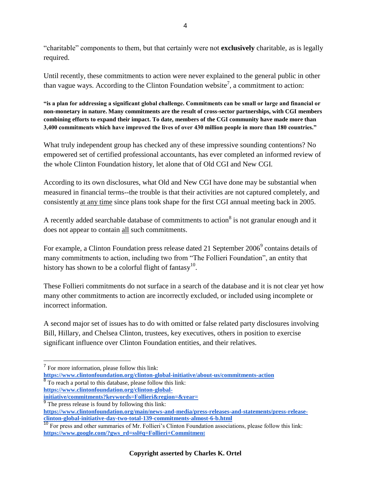"charitable" components to them, but that certainly were not **exclusively** charitable, as is legally required.

Until recently, these commitments to action were never explained to the general public in other than vague ways. According to the Clinton Foundation website<sup>7</sup>, a commitment to action:

**"is a plan for addressing a significant global challenge. Commitments can be small or large and financial or non-monetary in nature. Many commitments are the result of cross-sector partnerships, with CGI members combining efforts to expand their impact. To date, members of the CGI community have made more than 3,400 commitments which have improved the lives of over 430 million people in more than 180 countries."**

What truly independent group has checked any of these impressive sounding contentions? No empowered set of certified professional accountants, has ever completed an informed review of the whole Clinton Foundation history, let alone that of Old CGI and New CGI.

According to its own disclosures, what Old and New CGI have done may be substantial when measured in financial terms--the trouble is that their activities are not captured completely, and consistently at any time since plans took shape for the first CGI annual meeting back in 2005.

A recently added searchable database of commitments to action<sup>8</sup> is not granular enough and it does not appear to contain all such commitments.

For example, a Clinton Foundation press release dated 21 September 2006<sup>9</sup> contains details of many commitments to action, including two from "The Follieri Foundation", an entity that history has shown to be a colorful flight of fantasy $^{10}$ .

These Follieri commitments do not surface in a search of the database and it is not clear yet how many other commitments to action are incorrectly excluded, or included using incomplete or incorrect information.

A second major set of issues has to do with omitted or false related party disclosures involving Bill, Hillary, and Chelsea Clinton, trustees, key executives, others in position to exercise significant influence over Clinton Foundation entities, and their relatives.

 $\overline{a}$ 

**[https://www.clintonfoundation.org/clinton-global-](https://www.clintonfoundation.org/clinton-global-initiative/commitments?keywords=Follieri®ion=&year=)**

**[initiative/commitments?keywords=Follieri&region=&year=](https://www.clintonfoundation.org/clinton-global-initiative/commitments?keywords=Follieri®ion=&year=)**

<sup>&</sup>lt;sup>7</sup> For more information, please follow this link:

**<https://www.clintonfoundation.org/clinton-global-initiative/about-us/commitments-action>** <sup>8</sup> To reach a portal to this database, please follow this link:

<sup>&</sup>lt;sup>9</sup> The press release is found by following this link: **[https://www.clintonfoundation.org/main/news-and-media/press-releases-and-statements/press-release](https://www.clintonfoundation.org/main/news-and-media/press-releases-and-statements/press-release-clinton-global-initiative-day-two-total-139-commitments-almost-6-b.html)[clinton-global-initiative-day-two-total-139-commitments-almost-6-b.html](https://www.clintonfoundation.org/main/news-and-media/press-releases-and-statements/press-release-clinton-global-initiative-day-two-total-139-commitments-almost-6-b.html)**

<sup>&</sup>lt;sup>10</sup> For press and other summaries of Mr. Follieri's Clinton Foundation associations, please follow this link: **[https://www.google.com/?gws\\_rd=ssl#q=Follieri+Commitmen](https://www.google.com/?gws_rd=ssl#q=Follieri+Commitment)**[t](https://www.google.com/?gws_rd=ssl#q=Follieri+Commitment)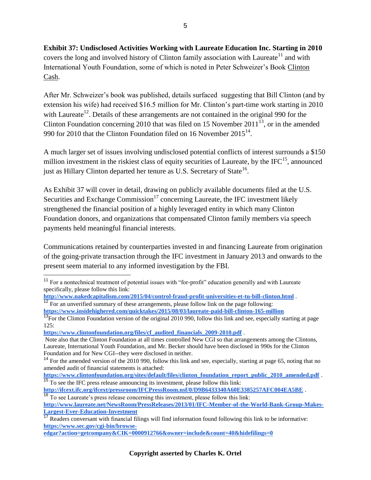**Exhibit 37: Undisclosed Activities Working with Laureate Education Inc. Starting in 2010**  covers the long and involved history of Clinton family association with Laureate<sup>11</sup> and with International Youth Foundation, some of which is noted in Peter Schweizer's Book Clinton Cash.

After Mr. Schweizer's book was published, details surfaced suggesting that Bill Clinton (and by extension his wife) had received \$16.5 million for Mr. Clinton's part-time work starting in 2010 with Laureate<sup>12</sup>. Details of these arrangements are not contained in the original 990 for the Clinton Foundation concerning 2010 that was filed on 15 November 2011<sup>13</sup>, or in the amended 990 for 2010 that the Clinton Foundation filed on 16 November  $2015^{14}$ .

A much larger set of issues involving undisclosed potential conflicts of interest surrounds a \$150 million investment in the riskiest class of equity securities of Laureate, by the  $\text{IFC}^{15}$ , announced just as Hillary Clinton departed her tenure as U.S. Secretary of State<sup>16</sup>.

As Exhibit 37 will cover in detail, drawing on publicly available documents filed at the U.S. Securities and Exchange Commission<sup>17</sup> concerning Laureate, the IFC investment likely strengthened the financial position of a highly leveraged entity in which many Clinton Foundation donors, and organizations that compensated Clinton family members via speech payments held meaningful financial interests.

Communications retained by counterparties invested in and financing Laureate from origination of the going-private transaction through the IFC investment in January 2013 and onwards to the present seem material to any informed investigation by the FBI.

**[https://www.clintonfoundation.org/files/cf\\_audited\\_financials\\_2009-2010.pdf](https://www.clintonfoundation.org/files/cf_audited_financials_2009-2010.pdf)** .

 $\overline{a}$ 

<sup>&</sup>lt;sup>11</sup> For a nontechnical treatment of potential issues with "for-profit" education generally and with Laureate specifically, please follow this link:

**<http://www.nakedcapitalism.com/2015/04/control-fraud-profit-universities-et-tu-bill-clinton.html>** .

 $12$  For an unverified summary of these arrangements, please follow link on the page following: **<https://www.insidehighered.com/quicktakes/2015/08/03/laureate-paid-bill-clinton-165-million>**

 $\frac{13}{13}$  For the Clinton Foundation version of the original 2010 990, follow this link and see, especially starting at page 125:

Note also that the Clinton Foundation at all times controlled New CGI so that arrangements among the Clintons, Laureate, International Youth Foundation, and Mr. Becker should have been disclosed in 990s for the Clinton Foundation and for New CGI--they were disclosed in neither.

<sup>&</sup>lt;sup>14</sup> For the amended version of the 2010 990, follow this link and see, especially, starting at page 65, noting that no amended audit of financial statements is attached:

**[https://www.clintonfoundation.org/sites/default/files/clinton\\_foundation\\_report\\_public\\_2010\\_amended.pdf](https://www.clintonfoundation.org/sites/default/files/clinton_foundation_report_public_2010_amended.pdf)** . <sup>15</sup> To see the IFC press release announcing its investment, please follow this link:

**<http://ifcext.ifc.org/ifcext/pressroom/IFCPressRoom.nsf/0/D9B6433340A60E3385257AFC004EA5BE>** . <sup>16</sup> To see Laureate's press release concerning this investment, please follow this link:

**[http://www.laureate.net/NewsRoom/PressReleases/2013/01/IFC-Member-of-the-World-Bank-Group-Makes-](http://www.laureate.net/NewsRoom/PressReleases/2013/01/IFC-Member-of-the-World-Bank-Group-Makes-Largest-Ever-Education-Investment)[Largest-Ever-Education-Investment](http://www.laureate.net/NewsRoom/PressReleases/2013/01/IFC-Member-of-the-World-Bank-Group-Makes-Largest-Ever-Education-Investment)**

<sup>17</sup> Readers conversant with financial filings will find information found following this link to be informative: **[https://www.sec.gov/cgi-bin/browse-](https://www.sec.gov/cgi-bin/browse-edgar?action=getcompany&CIK=0000912766&owner=include&count=40&hidefilings=0)**

**[edgar?action=getcompany&CIK=0000912766&owner=include&count=40&hidefilings=0](https://www.sec.gov/cgi-bin/browse-edgar?action=getcompany&CIK=0000912766&owner=include&count=40&hidefilings=0)**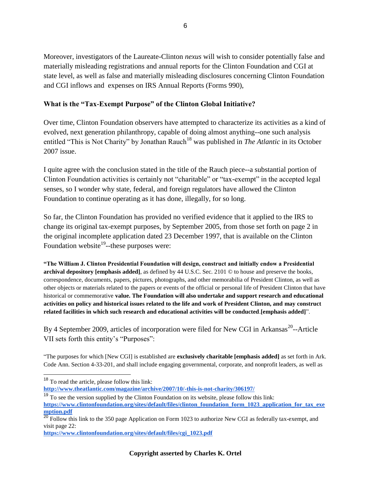Moreover, investigators of the Laureate-Clinton *nexus* will wish to consider potentially false and materially misleading registrations and annual reports for the Clinton Foundation and CGI at state level, as well as false and materially misleading disclosures concerning Clinton Foundation and CGI inflows and expenses on IRS Annual Reports (Forms 990),

#### **What is the "Tax-Exempt Purpose" of the Clinton Global Initiative?**

Over time, Clinton Foundation observers have attempted to characterize its activities as a kind of evolved, next generation philanthropy, capable of doing almost anything--one such analysis entitled "This is Not Charity" by Jonathan Rauch<sup>18</sup> was published in *The Atlantic* in its October 2007 issue.

I quite agree with the conclusion stated in the title of the Rauch piece--a substantial portion of Clinton Foundation activities is certainly not "charitable" or "tax-exempt" in the accepted legal senses, so I wonder why state, federal, and foreign regulators have allowed the Clinton Foundation to continue operating as it has done, illegally, for so long.

So far, the Clinton Foundation has provided no verified evidence that it applied to the IRS to change its original tax-exempt purposes, by September 2005, from those set forth on page 2 in the original incomplete application dated 23 December 1997, that is available on the Clinton Foundation website<sup>19</sup>--these purposes were:

**"The William J. Clinton Presidential Foundation will design, construct and initially endow a Presidential archival depository [emphasis added]**, as defined by 44 U.S.C. Sec. 2101 © to house and preserve the books, correspondence, documents, papers, pictures, photographs, and other memorabilia of President Clinton, as well as other objects or materials related to the papers or events of the official or personal life of President Clinton that have historical or commemorative **value. The Foundation will also undertake and support research and educational activities on policy and historical issues related to the life and work of President Clinton, and may construct related facilities in which such research and educational activities will be conducted**.**[emphasis added]**".

By 4 September 2009, articles of incorporation were filed for New CGI in Arkansas<sup>20</sup>--Article VII sets forth this entity's "Purposes":

"The purposes for which [New CGI] is established are **exclusively charitable [emphasis added]** as set forth in Ark. Code Ann. Section 4-33-201, and shall include engaging governmental, corporate, and nonprofit leaders, as well as

 $\overline{a}$ 

<sup>&</sup>lt;sup>18</sup> To read the article, please follow this link:

**<http://www.theatlantic.com/magazine/archive/2007/10/-this-is-not-charity/306197/>**

<sup>&</sup>lt;sup>19</sup> To see the version supplied by the Clinton Foundation on its website, please follow this link: **[https://www.clintonfoundation.org/sites/default/files/clinton\\_foundation\\_form\\_1023\\_application\\_for\\_tax\\_exe](https://www.clintonfoundation.org/sites/default/files/clinton_foundation_form_1023_application_for_tax_exemption.pdf) [mption.pdf](https://www.clintonfoundation.org/sites/default/files/clinton_foundation_form_1023_application_for_tax_exemption.pdf)**

 $^{20}$  Follow this link to the 350 page Application on Form 1023 to authorize New CGI as federally tax-exempt, and visit page 22:

**[https://www.clintonfoundation.org/sites/default/files/cgi\\_1023.pdf](https://www.clintonfoundation.org/sites/default/files/cgi_1023.pdf)**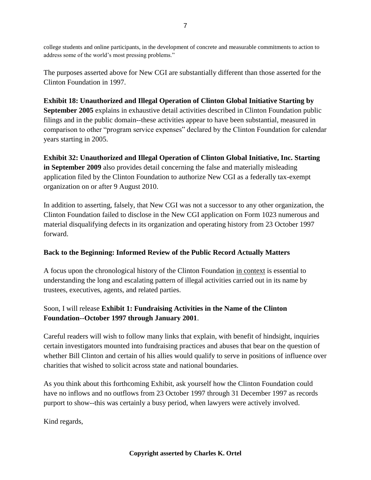college students and online participants, in the development of concrete and measurable commitments to action to address some of the world's most pressing problems."

The purposes asserted above for New CGI are substantially different than those asserted for the Clinton Foundation in 1997.

**Exhibit 18: Unauthorized and Illegal Operation of Clinton Global Initiative Starting by September 2005** explains in exhaustive detail activities described in Clinton Foundation public filings and in the public domain--these activities appear to have been substantial, measured in comparison to other "program service expenses" declared by the Clinton Foundation for calendar years starting in 2005.

**Exhibit 32: Unauthorized and Illegal Operation of Clinton Global Initiative, Inc. Starting in September 2009** also provides detail concerning the false and materially misleading application filed by the Clinton Foundation to authorize New CGI as a federally tax-exempt organization on or after 9 August 2010.

In addition to asserting, falsely, that New CGI was not a successor to any other organization, the Clinton Foundation failed to disclose in the New CGI application on Form 1023 numerous and material disqualifying defects in its organization and operating history from 23 October 1997 forward.

#### **Back to the Beginning: Informed Review of the Public Record Actually Matters**

A focus upon the chronological history of the Clinton Foundation in context is essential to understanding the long and escalating pattern of illegal activities carried out in its name by trustees, executives, agents, and related parties.

### Soon, I will release **Exhibit 1: Fundraising Activities in the Name of the Clinton Foundation--October 1997 through January 2001**.

Careful readers will wish to follow many links that explain, with benefit of hindsight, inquiries certain investigators mounted into fundraising practices and abuses that bear on the question of whether Bill Clinton and certain of his allies would qualify to serve in positions of influence over charities that wished to solicit across state and national boundaries.

As you think about this forthcoming Exhibit, ask yourself how the Clinton Foundation could have no inflows and no outflows from 23 October 1997 through 31 December 1997 as records purport to show--this was certainly a busy period, when lawyers were actively involved.

Kind regards,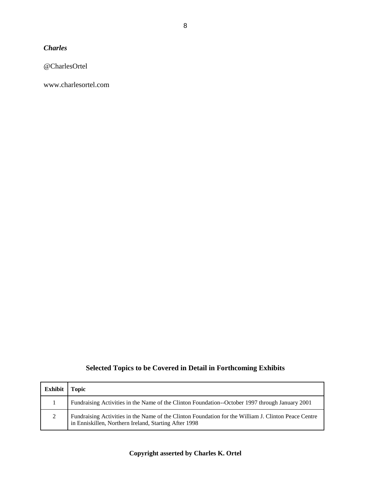*Charles*

@CharlesOrtel

www.charlesortel.com

## **Selected Topics to be Covered in Detail in Forthcoming Exhibits**

| Exhibit Topic |                                                                                                                                                               |
|---------------|---------------------------------------------------------------------------------------------------------------------------------------------------------------|
|               | Fundraising Activities in the Name of the Clinton Foundation--October 1997 through January 2001                                                               |
| 2             | Fundraising Activities in the Name of the Clinton Foundation for the William J. Clinton Peace Centre<br>in Enniskillen, Northern Ireland, Starting After 1998 |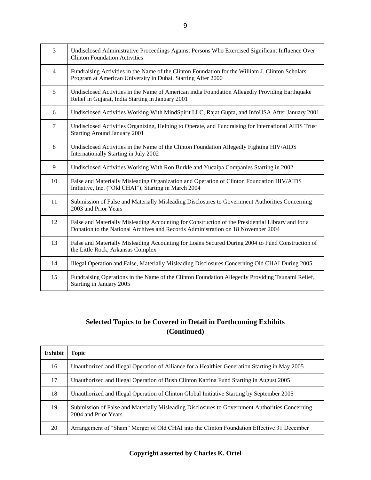| $\overline{3}$ | Undisclosed Administrative Proceedings Against Persons Who Exercised Significant Influence Over<br><b>Clinton Foundation Activities</b>                                               |
|----------------|---------------------------------------------------------------------------------------------------------------------------------------------------------------------------------------|
| $\overline{4}$ | Fundraising Activities in the Name of the Clinton Foundation for the William J. Clinton Scholars<br>Program at American University in Dubai, Starting After 2000                      |
| 5              | Undisclosed Activities in the Name of American india Foundation Allegedly Providing Earthquake<br>Relief in Gujarat, India Starting in January 2001                                   |
| 6              | Undisclosed Activities Working With MindSpirit LLC, Rajat Gupta, and InfoUSA After January 2001                                                                                       |
| $\tau$         | Undisclosed Activities Organizing, Helping to Operate, and Fundraising for International AIDS Trust<br><b>Starting Around January 2001</b>                                            |
| 8              | Undisclosed Activities in the Name of the Clinton Foundation Allegedly Fighting HIV/AIDS<br>Internationally Starting in July 2002                                                     |
| 9              | Undisclosed Activities Working With Ron Burkle and Yucaipa Companies Starting in 2002                                                                                                 |
| 10             | False and Materially Misleading Organization and Operation of Clinton Foundation HIV/AIDS<br>Initiative, Inc. ("Old CHAI"), Starting in March 2004                                    |
| 11             | Submission of False and Materially Misleading Disclosures to Government Authorities Concerning<br>2003 and Prior Years                                                                |
| 12             | False and Materially Misleading Accounting for Construction of the Presidential Library and for a<br>Donation to the National Archives and Records Administration on 18 November 2004 |
| 13             | False and Materially Misleading Accounting for Loans Secured During 2004 to Fund Construction of<br>the Little Rock, Arkansas Complex                                                 |
| 14             | Illegal Operation and False, Materially Misleading Disclosures Concerning Old CHAI During 2005                                                                                        |
| 15             | Fundraising Operations in the Name of the Clinton Foundation Allegedly Providing Tsunami Relief,<br>Starting in January 2005                                                          |

## **Selected Topics to be Covered in Detail in Forthcoming Exhibits (Continued)**

| <b>Exhibit</b> | <b>Topic</b>                                                                                                           |
|----------------|------------------------------------------------------------------------------------------------------------------------|
| 16             | Unauthorized and Illegal Operation of Alliance for a Healthier Generation Starting in May 2005                         |
| 17             | Unauthorized and Illegal Operation of Bush Clinton Katrina Fund Starting in August 2005                                |
| 18             | Unauthorized and Illegal Operation of Clinton Global Initiative Starting by September 2005                             |
| 19             | Submission of False and Materially Misleading Disclosures to Government Authorities Concerning<br>2004 and Prior Years |
| 20             | Arrangement of "Sham" Merger of Old CHAI into the Clinton Foundation Effective 31 December                             |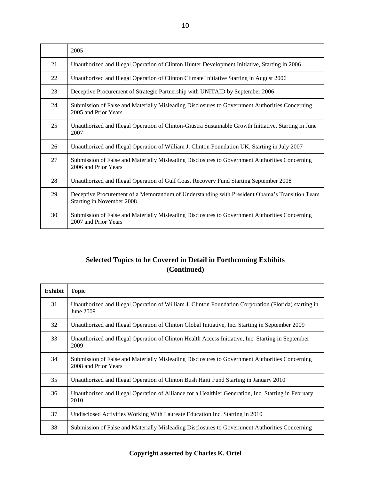|    | 2005                                                                                                                       |
|----|----------------------------------------------------------------------------------------------------------------------------|
| 21 | Unauthorized and Illegal Operation of Clinton Hunter Development Initiative, Starting in 2006                              |
| 22 | Unauthorized and Illegal Operation of Clinton Climate Initiative Starting in August 2006                                   |
| 23 | Deceptive Procurement of Strategic Partnership with UNITAID by September 2006                                              |
| 24 | Submission of False and Materially Misleading Disclosures to Government Authorities Concerning<br>2005 and Prior Years     |
| 25 | Unauthorized and Illegal Operation of Clinton-Giustra Sustainable Growth Initiative, Starting in June<br>2007              |
| 26 | Unauthorized and Illegal Operation of William J. Clinton Foundation UK, Starting in July 2007                              |
| 27 | Submission of False and Materially Misleading Disclosures to Government Authorities Concerning<br>2006 and Prior Years     |
| 28 | Unauthorized and Illegal Operation of Gulf Coast Recovery Fund Starting September 2008                                     |
| 29 | Deceptive Procurement of a Memorandum of Understanding with President Obama's Transition Team<br>Starting in November 2008 |
| 30 | Submission of False and Materially Misleading Disclosures to Government Authorities Concerning<br>2007 and Prior Years     |

### **Selected Topics to be Covered in Detail in Forthcoming Exhibits (Continued)**

| Exhibit | <b>Topic</b>                                                                                                           |
|---------|------------------------------------------------------------------------------------------------------------------------|
| 31      | Unauthorized and Illegal Operation of William J. Clinton Foundation Corporation (Florida) starting in<br>June 2009     |
| 32      | Unauthorized and Illegal Operation of Clinton Global Initiative, Inc. Starting in September 2009                       |
| 33      | Unauthorized and Illegal Operation of Clinton Health Access Initiative, Inc. Starting in September<br>2009             |
| 34      | Submission of False and Materially Misleading Disclosures to Government Authorities Concerning<br>2008 and Prior Years |
| 35      | Unauthorized and Illegal Operation of Clinton Bush Haiti Fund Starting in January 2010                                 |
| 36      | Unauthorized and Illegal Operation of Alliance for a Healthier Generation, Inc. Starting in February<br>2010           |
| 37      | Undisclosed Activities Working With Laureate Education Inc, Starting in 2010                                           |
| 38      | Submission of False and Materially Misleading Disclosures to Government Authorities Concerning                         |